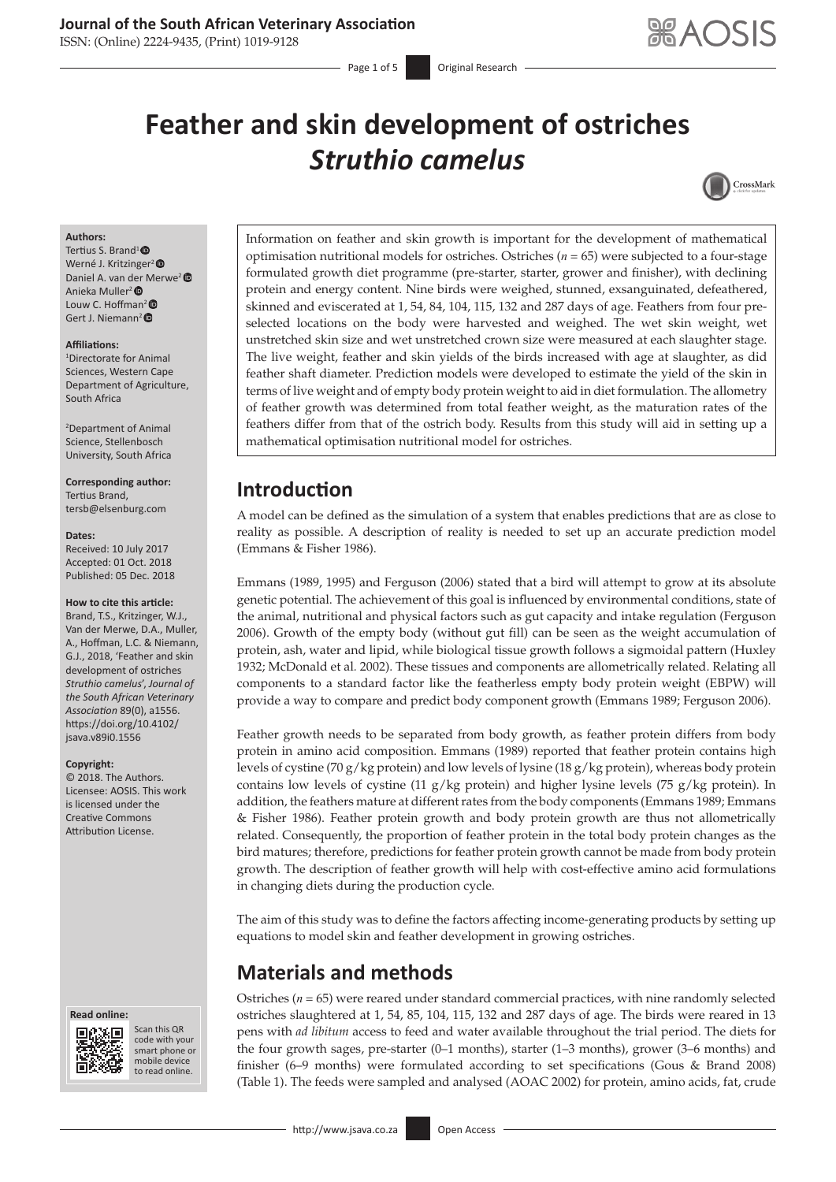### **Journal of the South African Veterinary Association**

ISSN: (Online) 2224-9435, (Print) 1019-9128

# **Feather and skin development of ostriches**  *Struthio camelus*



#### **Authors:**

Tertius S. Brand<sup>1</sup> <sup>O</sup> Werné J. Kritzinger<sup>2</sup> Daniel A. van der Merwe[2](https://orcid.org/0000-0002-5888-7092)  Anieka Muller[2](https://orcid.org/0000-0003-4945-8015)  Louw C. Hoffman<sup>2</sup> Gert J. Niemann<sup>2</sup>

#### **Affiliations:**

1 Directorate for Animal Sciences, Western Cape Department of Agriculture, South Africa

2 Department of Animal Science, Stellenbosch University, South Africa

### **Corresponding author:**

Tertius Brand, [tersb@elsenburg.com](mailto:tersb@elsenburg.com)

#### **Dates:**

Received: 10 July 2017 Accepted: 01 Oct. 2018 Published: 05 Dec. 2018

#### **How to cite this article:**

Brand, T.S., Kritzinger, W.J., Van der Merwe, D.A., Muller, A., Hoffman, L.C. & Niemann, G.J., 2018, 'Feather and skin development of ostriches *Struthio camelus*', *Journal of the South African Veterinary Association* 89(0), a1556. [https://doi.org/10.4102/](https://doi.org/10.4102/jsava.v89i0.1556) [jsava.v89i0.1556](https://doi.org/10.4102/jsava.v89i0.1556)

#### **Copyright:**

© 2018. The Authors. Licensee: AOSIS. This work is licensed under the Creative Commons Attribution License.

#### **Read online: Read**



Scan this QR code with your Scan this QR<br>code with your<br>smart phone or<br>mobile device mobile device to read online. to read online.

Information on feather and skin growth is important for the development of mathematical optimisation nutritional models for ostriches. Ostriches (*n* = 65) were subjected to a four-stage formulated growth diet programme (pre-starter, starter, grower and finisher), with declining protein and energy content. Nine birds were weighed, stunned, exsanguinated, defeathered, skinned and eviscerated at 1, 54, 84, 104, 115, 132 and 287 days of age. Feathers from four preselected locations on the body were harvested and weighed. The wet skin weight, wet unstretched skin size and wet unstretched crown size were measured at each slaughter stage. The live weight, feather and skin yields of the birds increased with age at slaughter, as did feather shaft diameter. Prediction models were developed to estimate the yield of the skin in terms of live weight and of empty body protein weight to aid in diet formulation. The allometry of feather growth was determined from total feather weight, as the maturation rates of the feathers differ from that of the ostrich body. Results from this study will aid in setting up a mathematical optimisation nutritional model for ostriches.

# **Introduction**

A model can be defined as the simulation of a system that enables predictions that are as close to reality as possible. A description of reality is needed to set up an accurate prediction model (Emmans & Fisher 1986).

Emmans (1989, 1995) and Ferguson (2006) stated that a bird will attempt to grow at its absolute genetic potential. The achievement of this goal is influenced by environmental conditions, state of the animal, nutritional and physical factors such as gut capacity and intake regulation (Ferguson 2006). Growth of the empty body (without gut fill) can be seen as the weight accumulation of protein, ash, water and lipid, while biological tissue growth follows a sigmoidal pattern (Huxley 1932; McDonald et al*.* 2002). These tissues and components are allometrically related. Relating all components to a standard factor like the featherless empty body protein weight (EBPW) will provide a way to compare and predict body component growth (Emmans 1989; Ferguson 2006).

Feather growth needs to be separated from body growth, as feather protein differs from body protein in amino acid composition. Emmans (1989) reported that feather protein contains high levels of cystine (70 g/kg protein) and low levels of lysine (18 g/kg protein), whereas body protein contains low levels of cystine (11  $g/kg$  protein) and higher lysine levels (75  $g/kg$  protein). In addition, the feathers mature at different rates from the body components (Emmans 1989; Emmans & Fisher 1986). Feather protein growth and body protein growth are thus not allometrically related. Consequently, the proportion of feather protein in the total body protein changes as the bird matures; therefore, predictions for feather protein growth cannot be made from body protein growth. The description of feather growth will help with cost-effective amino acid formulations in changing diets during the production cycle.

The aim of this study was to define the factors affecting income-generating products by setting up equations to model skin and feather development in growing ostriches.

# **Materials and methods**

Ostriches (*n* = 65) were reared under standard commercial practices, with nine randomly selected ostriches slaughtered at 1, 54, 85, 104, 115, 132 and 287 days of age. The birds were reared in 13 pens with *ad libitum* access to feed and water available throughout the trial period. The diets for the four growth sages, pre-starter (0–1 months), starter (1–3 months), grower (3–6 months) and finisher (6–9 months) were formulated according to set specifications (Gous & Brand 2008) (Table 1). The feeds were sampled and analysed (AOAC 2002) for protein, amino acids, fat, crude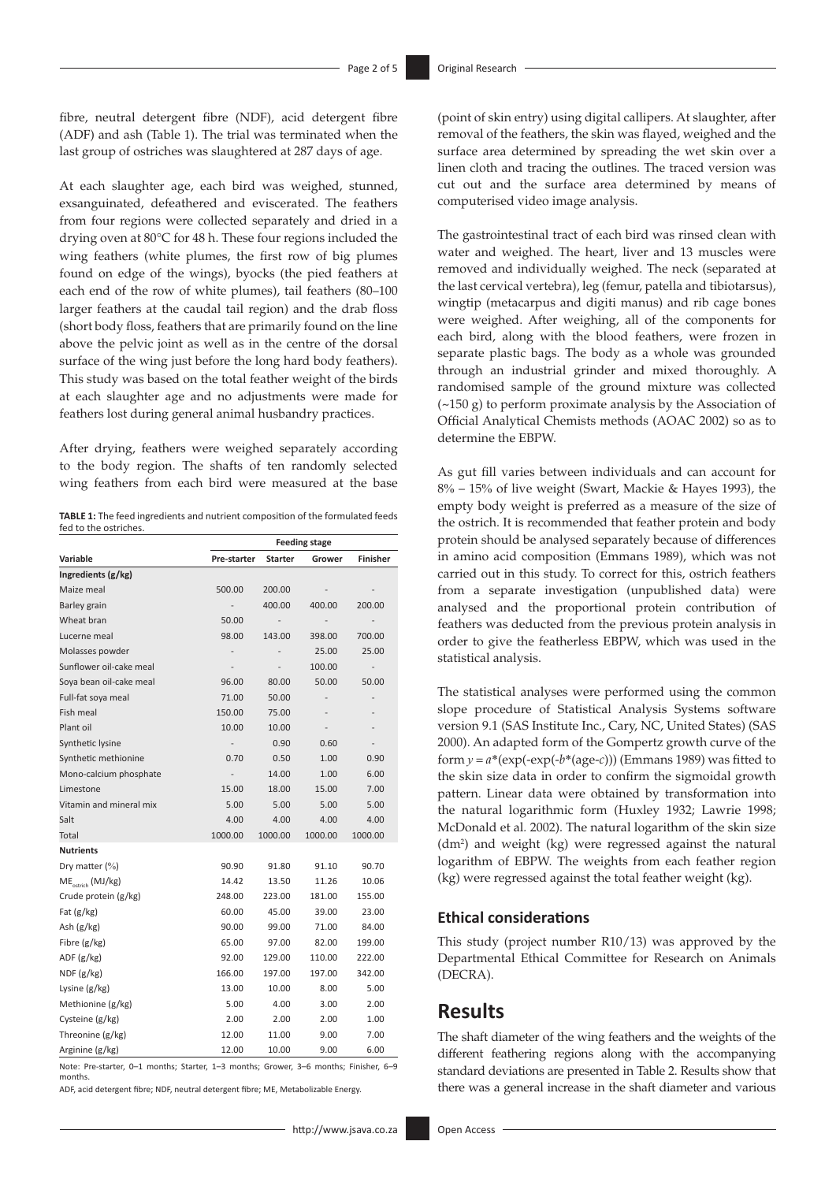fibre, neutral detergent fibre (NDF), acid detergent fibre (ADF) and ash (Table 1). The trial was terminated when the last group of ostriches was slaughtered at 287 days of age.

At each slaughter age, each bird was weighed, stunned, exsanguinated, defeathered and eviscerated. The feathers from four regions were collected separately and dried in a drying oven at 80°C for 48 h. These four regions included the wing feathers (white plumes, the first row of big plumes found on edge of the wings), byocks (the pied feathers at each end of the row of white plumes), tail feathers (80–100 larger feathers at the caudal tail region) and the drab floss (short body floss, feathers that are primarily found on the line above the pelvic joint as well as in the centre of the dorsal surface of the wing just before the long hard body feathers). This study was based on the total feather weight of the birds at each slaughter age and no adjustments were made for feathers lost during general animal husbandry practices.

After drying, feathers were weighed separately according to the body region. The shafts of ten randomly selected wing feathers from each bird were measured at the base

**TABLE 1:** The feed ingredients and nutrient composition of the formulated feeds fed to the ostriches

|                               | <b>Feeding stage</b>         |                |         |          |  |
|-------------------------------|------------------------------|----------------|---------|----------|--|
| Variable                      | Pre-starter                  | <b>Starter</b> | Grower  | Finisher |  |
| Ingredients (g/kg)            |                              |                |         |          |  |
| Maize meal                    | 500.00                       | 200.00         |         |          |  |
| Barley grain                  |                              | 400.00         | 400.00  | 200.00   |  |
| Wheat bran                    | 50.00                        | $\overline{a}$ |         |          |  |
| Lucerne meal                  | 98.00                        | 143.00         | 398.00  | 700.00   |  |
| Molasses powder               |                              |                | 25.00   | 25.00    |  |
| Sunflower oil-cake meal       |                              | -              | 100.00  |          |  |
| Soya bean oil-cake meal       | 96.00                        | 80.00          | 50.00   | 50.00    |  |
| Full-fat soya meal            | 71.00                        | 50.00          |         |          |  |
| Fish meal                     | 150.00                       | 75.00          |         |          |  |
| Plant oil                     | 10.00                        | 10.00          |         |          |  |
| Synthetic lysine              |                              | 0.90           | 0.60    |          |  |
| Synthetic methionine          | 0.70                         | 0.50           | 1.00    | 0.90     |  |
| Mono-calcium phosphate        | $\qquad \qquad \blacksquare$ | 14.00          | 1.00    | 6.00     |  |
| Limestone                     | 15.00                        | 18.00          | 15.00   | 7.00     |  |
| Vitamin and mineral mix       | 5.00                         | 5.00           | 5.00    | 5.00     |  |
| Salt                          | 4.00                         | 4.00           | 4.00    | 4.00     |  |
| Total                         | 1000.00                      | 1000.00        | 1000.00 | 1000.00  |  |
| <b>Nutrients</b>              |                              |                |         |          |  |
| Dry matter $(\%)$             | 90.90                        | 91.80          | 91.10   | 90.70    |  |
| $ME_{\text{extrich}}$ (MJ/kg) | 14.42                        | 13.50          | 11.26   | 10.06    |  |
| Crude protein (g/kg)          | 248.00                       | 223.00         | 181.00  | 155.00   |  |
| Fat $(g/kg)$                  | 60.00                        | 45.00          | 39.00   | 23.00    |  |
| Ash (g/kg)                    | 90.00                        | 99.00          | 71.00   | 84.00    |  |
| Fibre (g/kg)                  | 65.00                        | 97.00          | 82.00   | 199.00   |  |
| ADF(g/kg)                     | 92.00                        | 129.00         | 110.00  | 222.00   |  |
| NDF(g/kg)                     | 166.00                       | 197.00         | 197.00  | 342.00   |  |
| Lysine (g/kg)                 | 13.00                        | 10.00          | 8.00    | 5.00     |  |
| Methionine (g/kg)             | 5.00                         | 4.00           | 3.00    | 2.00     |  |
| Cysteine (g/kg)               | 2.00                         | 2.00           | 2.00    | 1.00     |  |
| Threonine (g/kg)              | 12.00                        | 11.00          | 9.00    | 7.00     |  |
| Arginine (g/kg)               | 12.00                        | 10.00          | 9.00    | 6.00     |  |

Note: Pre-starter, 0–1 months; Starter, 1–3 months; Grower, 3–6 months; Finisher, 6–9 months.

ADF, acid detergent fibre; NDF, neutral detergent fibre; ME, Metabolizable Energy.

The gastrointestinal tract of each bird was rinsed clean with water and weighed. The heart, liver and 13 muscles were removed and individually weighed. The neck (separated at the last cervical vertebra), leg (femur, patella and tibiotarsus), wingtip (metacarpus and digiti manus) and rib cage bones were weighed. After weighing, all of the components for each bird, along with the blood feathers, were frozen in separate plastic bags. The body as a whole was grounded through an industrial grinder and mixed thoroughly. A randomised sample of the ground mixture was collected (~150 g) to perform proximate analysis by the Association of Official Analytical Chemists methods (AOAC 2002) so as to determine the EBPW.

As gut fill varies between individuals and can account for 8% – 15% of live weight (Swart, Mackie & Hayes 1993), the empty body weight is preferred as a measure of the size of the ostrich. It is recommended that feather protein and body protein should be analysed separately because of differences in amino acid composition (Emmans 1989), which was not carried out in this study. To correct for this, ostrich feathers from a separate investigation (unpublished data) were analysed and the proportional protein contribution of feathers was deducted from the previous protein analysis in order to give the featherless EBPW, which was used in the statistical analysis.

The statistical analyses were performed using the common slope procedure of Statistical Analysis Systems software version 9.1 (SAS Institute Inc., Cary, NC, United States) (SAS 2000). An adapted form of the Gompertz growth curve of the form  $y = a^*(\exp(-\exp(-b^*(\text{age-}c)))$  (Emmans 1989) was fitted to the skin size data in order to confirm the sigmoidal growth pattern. Linear data were obtained by transformation into the natural logarithmic form (Huxley 1932; Lawrie 1998; McDonald et al*.* 2002). The natural logarithm of the skin size (dm2 ) and weight (kg) were regressed against the natural logarithm of EBPW. The weights from each feather region (kg) were regressed against the total feather weight (kg).

### **Ethical considerations**

This study (project number R10/13) was approved by the Departmental Ethical Committee for Research on Animals (DECRA).

## **Results**

The shaft diameter of the wing feathers and the weights of the different feathering regions along with the accompanying standard deviations are presented in Table 2. Results show that there was a general increase in the shaft diameter and various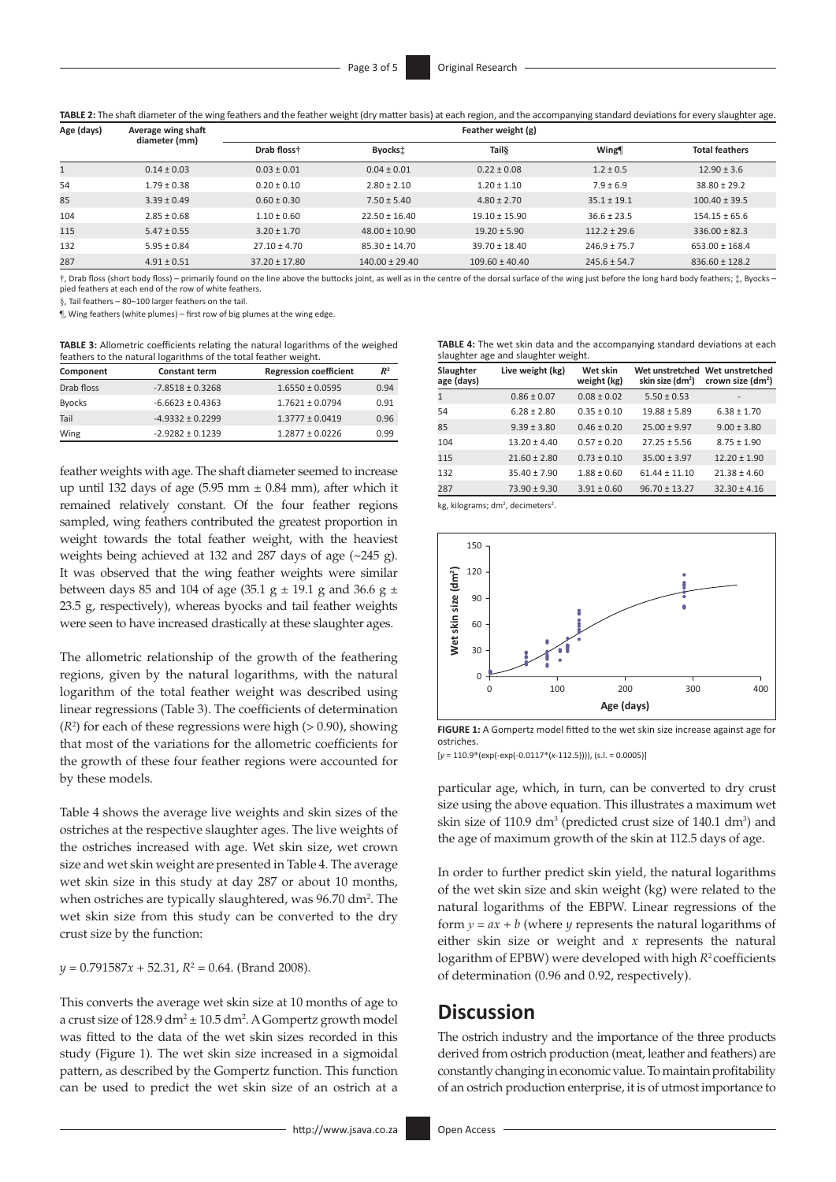**TABLE 2:** The shaft diameter of the wing feathers and the feather weight (dry matter basis) at each region, and the accompanying standard deviations for every slaughter age.

| Age (days) | Average wing shaft<br>diameter (mm) | Feather weight (g) |                    |                    |                  |                       |  |
|------------|-------------------------------------|--------------------|--------------------|--------------------|------------------|-----------------------|--|
|            |                                     | Drab floss+        | Byocks:            | Tail               | Wing             | <b>Total feathers</b> |  |
|            | $0.14 \pm 0.03$                     | $0.03 \pm 0.01$    | $0.04 \pm 0.01$    | $0.22 \pm 0.08$    | $1.2 \pm 0.5$    | $12.90 \pm 3.6$       |  |
| 54         | $1.79 \pm 0.38$                     | $0.20 \pm 0.10$    | $2.80 \pm 2.10$    | $1.20 \pm 1.10$    | $7.9 + 6.9$      | $38.80 + 29.2$        |  |
| 85         | $3.39 \pm 0.49$                     | $0.60 \pm 0.30$    | $7.50 \pm 5.40$    | $4.80 \pm 2.70$    | $35.1 + 19.1$    | $100.40 \pm 39.5$     |  |
| 104        | $2.85 \pm 0.68$                     | $1.10 \pm 0.60$    | $22.50 \pm 16.40$  | $19.10 \pm 15.90$  | $36.6 \pm 23.5$  | $154.15 \pm 65.6$     |  |
| 115        | $5.47 \pm 0.55$                     | $3.20 \pm 1.70$    | $48.00 \pm 10.90$  | $19.20 \pm 5.90$   | $112.2 + 29.6$   | $336.00 \pm 82.3$     |  |
| 132        | $5.95 \pm 0.84$                     | $27.10 \pm 4.70$   | $85.30 \pm 14.70$  | $39.70 \pm 18.40$  | $246.9 + 75.7$   | $653.00 \pm 168.4$    |  |
| 287        | $4.91 \pm 0.51$                     | $37.20 \pm 17.80$  | $140.00 \pm 29.40$ | $109.60 \pm 40.40$ | $245.6 \pm 54.7$ | $836.60 \pm 128.2$    |  |

†, Drab floss (short body floss) – primarily found on the line above the buttocks joint, as well as in the centre of the dorsal surface of the wing just before the long hard body feathers; ‡, Byocks – pied feathers at each end of the row of white feathers.

§, Tail feathers - 80-100 larger feathers on the tail

¶, Wing feathers (white plumes) – first row of big plumes at the wing edge.

**TABLE 3:** Allometric coefficients relating the natural logarithms of the weighed feathers to the natural logarithms of the total feather weight.

| Component     | <b>Constant term</b> | <b>Regression coefficient</b> | $R^2$ |
|---------------|----------------------|-------------------------------|-------|
| Drab floss    | $-7.8518 \pm 0.3268$ | $1.6550 \pm 0.0595$           | 0.94  |
| <b>Byocks</b> | $-6.6623 \pm 0.4363$ | $1.7621 \pm 0.0794$           | 0.91  |
| Tail          | $-4.9332 \pm 0.2299$ | $1.3777 + 0.0419$             | 0.96  |
| Wing          | $-2.9282 \pm 0.1239$ | $1.2877 \pm 0.0226$           | 0.99  |

feather weights with age. The shaft diameter seemed to increase up until 132 days of age (5.95 mm  $\pm$  0.84 mm), after which it remained relatively constant. Of the four feather regions sampled, wing feathers contributed the greatest proportion in weight towards the total feather weight, with the heaviest weights being achieved at 132 and 287 days of age (~245 g). It was observed that the wing feather weights were similar between days 85 and 104 of age (35.1 g  $\pm$  19.1 g and 36.6 g  $\pm$ 23.5 g, respectively), whereas byocks and tail feather weights were seen to have increased drastically at these slaughter ages.

The allometric relationship of the growth of the feathering regions, given by the natural logarithms, with the natural logarithm of the total feather weight was described using linear regressions (Table 3). The coefficients of determination  $(R<sup>2</sup>)$  for each of these regressions were high ( $> 0.90$ ), showing that most of the variations for the allometric coefficients for the growth of these four feather regions were accounted for by these models.

Table 4 shows the average live weights and skin sizes of the ostriches at the respective slaughter ages. The live weights of the ostriches increased with age. Wet skin size, wet crown size and wet skin weight are presented in Table 4. The average wet skin size in this study at day 287 or about 10 months, when ostriches are typically slaughtered, was 96.70 dm<sup>2</sup>. The wet skin size from this study can be converted to the dry crust size by the function:

*y* = 0.791587*x* + 52.31, *R*<sup>2</sup> = 0.64. (Brand 2008).

This converts the average wet skin size at 10 months of age to a crust size of  $128.9 \text{ dm}^2 \pm 10.5 \text{ dm}^2$ . A Gompertz growth model was fitted to the data of the wet skin sizes recorded in this study (Figure 1). The wet skin size increased in a sigmoidal pattern, as described by the Gompertz function. This function can be used to predict the wet skin size of an ostrich at a

**TABLE 4:** The wet skin data and the accompanying standard deviations at each slaughter age and slaughter weight.

| Slaughter<br>age (days) | Live weight (kg) | Wet skin<br>weight (kg) | Wet unstretched<br>skin size (dm <sup>2</sup> ) | Wet unstretched<br>crown size (dm <sup>2</sup> ) |
|-------------------------|------------------|-------------------------|-------------------------------------------------|--------------------------------------------------|
| 1                       | $0.86 \pm 0.07$  | $0.08 \pm 0.02$         | $5.50 \pm 0.53$                                 | $\overline{\phantom{0}}$                         |
| 54                      | $6.28 \pm 2.80$  | $0.35 \pm 0.10$         | $19.88 + 5.89$                                  | $6.38 \pm 1.70$                                  |
| 85                      | $9.39 \pm 3.80$  | $0.46 \pm 0.20$         | $25.00 + 9.97$                                  | $9.00 \pm 3.80$                                  |
| 104                     | $13.20 \pm 4.40$ | $0.57 \pm 0.20$         | $27.25 + 5.56$                                  | $8.75 \pm 1.90$                                  |
| 115                     | $21.60 \pm 2.80$ | $0.73 \pm 0.10$         | $35.00 \pm 3.97$                                | $12.20 \pm 1.90$                                 |
| 132                     | $35.40 \pm 7.90$ | $1.88 \pm 0.60$         | $61.44 \pm 11.10$                               | $21.38 \pm 4.60$                                 |
| 287                     | $73.90 \pm 9.30$ | $3.91 \pm 0.60$         | $96.70 \pm 13.27$                               | $32.30 \pm 4.16$                                 |

kg, kilograms; dm<sup>2</sup>, decimeters<sup>2</sup>.



**FIGURE 1:** A Gompertz model fitted to the wet skin size increase against age for ostriches.

[*y* = 110.9\*(exp(-exp(-0.0117\*(*x*-112.5)))), (s.l. = 0.0005)]

particular age, which, in turn, can be converted to dry crust size using the above equation. This illustrates a maximum wet skin size of 110.9  $dm^3$  (predicted crust size of 140.1  $dm^3$ ) and the age of maximum growth of the skin at 112.5 days of age.

In order to further predict skin yield, the natural logarithms of the wet skin size and skin weight (kg) were related to the natural logarithms of the EBPW. Linear regressions of the form  $y = ax + b$  (where *y* represents the natural logarithms of either skin size or weight and *x* represents the natural logarithm of EPBW) were developed with high *R*2 coefficients of determination (0.96 and 0.92, respectively).

## **Discussion**

The ostrich industry and the importance of the three products derived from ostrich production (meat, leather and feathers) are constantly changing in economic value. To maintain profitability of an ostrich production enterprise, it is of utmost importance to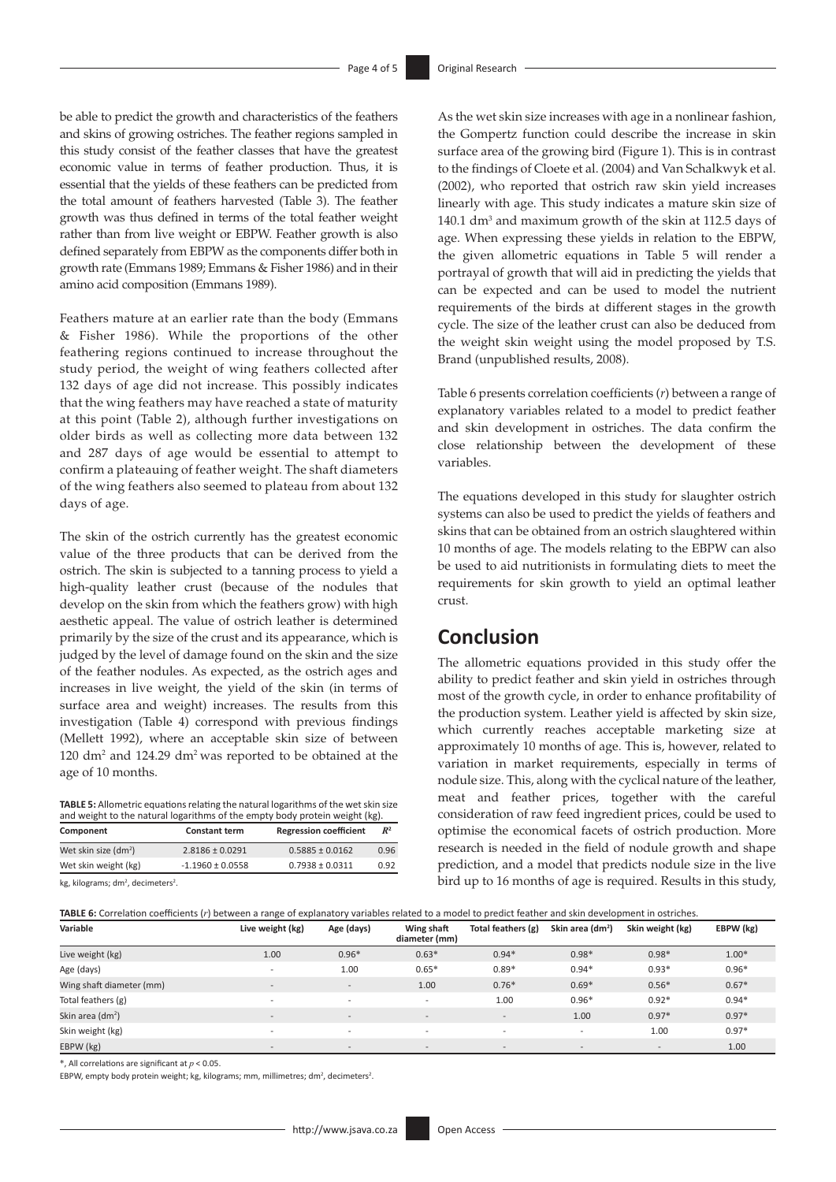be able to predict the growth and characteristics of the feathers and skins of growing ostriches. The feather regions sampled in this study consist of the feather classes that have the greatest economic value in terms of feather production. Thus, it is essential that the yields of these feathers can be predicted from the total amount of feathers harvested (Table 3). The feather growth was thus defined in terms of the total feather weight rather than from live weight or EBPW. Feather growth is also defined separately from EBPW as the components differ both in growth rate (Emmans 1989; Emmans & Fisher 1986) and in their amino acid composition (Emmans 1989).

Feathers mature at an earlier rate than the body (Emmans & Fisher 1986). While the proportions of the other feathering regions continued to increase throughout the study period, the weight of wing feathers collected after 132 days of age did not increase. This possibly indicates that the wing feathers may have reached a state of maturity at this point (Table 2), although further investigations on older birds as well as collecting more data between 132 and 287 days of age would be essential to attempt to confirm a plateauing of feather weight. The shaft diameters of the wing feathers also seemed to plateau from about 132 days of age.

The skin of the ostrich currently has the greatest economic value of the three products that can be derived from the ostrich. The skin is subjected to a tanning process to yield a high-quality leather crust (because of the nodules that develop on the skin from which the feathers grow) with high aesthetic appeal. The value of ostrich leather is determined primarily by the size of the crust and its appearance, which is judged by the level of damage found on the skin and the size of the feather nodules. As expected, as the ostrich ages and increases in live weight, the yield of the skin (in terms of surface area and weight) increases. The results from this investigation (Table 4) correspond with previous findings (Mellett 1992), where an acceptable skin size of between 120 dm<sup>2</sup> and 124.29 dm<sup>2</sup> was reported to be obtained at the age of 10 months.

**TABLE 5:** Allometric equations relating the natural logarithms of the wet skin size and weight to the natural logarithms of the empty body protein weight (kg).

| Component                                           | <b>Constant term</b> | <b>Regression coefficient</b> | $R^2$ |
|-----------------------------------------------------|----------------------|-------------------------------|-------|
| Wet skin size (dm <sup>2</sup> )                    | $2.8186 \pm 0.0291$  | $0.5885 \pm 0.0162$           | 0.96  |
| Wet skin weight (kg)                                | $-1.1960 \pm 0.0558$ | $0.7938 \pm 0.0311$           | 0.92  |
| $k\sigma$ kilograms: $dm^2$ decimeters <sup>2</sup> |                      |                               |       |

kg, kilograms; dm<sup>2</sup>, decimeters<sup>2</sup> . As the wet skin size increases with age in a nonlinear fashion, the Gompertz function could describe the increase in skin surface area of the growing bird (Figure 1). This is in contrast to the findings of Cloete et al. (2004) and Van Schalkwyk et al. (2002), who reported that ostrich raw skin yield increases linearly with age. This study indicates a mature skin size of 140.1 dm<sup>3</sup> and maximum growth of the skin at 112.5 days of age. When expressing these yields in relation to the EBPW, the given allometric equations in Table 5 will render a portrayal of growth that will aid in predicting the yields that can be expected and can be used to model the nutrient requirements of the birds at different stages in the growth cycle. The size of the leather crust can also be deduced from the weight skin weight using the model proposed by T.S. Brand (unpublished results, 2008).

Table 6 presents correlation coefficients (*r*) between a range of explanatory variables related to a model to predict feather and skin development in ostriches. The data confirm the close relationship between the development of these variables.

The equations developed in this study for slaughter ostrich systems can also be used to predict the yields of feathers and skins that can be obtained from an ostrich slaughtered within 10 months of age. The models relating to the EBPW can also be used to aid nutritionists in formulating diets to meet the requirements for skin growth to yield an optimal leather crust.

# **Conclusion**

The allometric equations provided in this study offer the ability to predict feather and skin yield in ostriches through most of the growth cycle, in order to enhance profitability of the production system. Leather yield is affected by skin size, which currently reaches acceptable marketing size at approximately 10 months of age. This is, however, related to variation in market requirements, especially in terms of nodule size. This, along with the cyclical nature of the leather, meat and feather prices, together with the careful consideration of raw feed ingredient prices, could be used to optimise the economical facets of ostrich production. More research is needed in the field of nodule growth and shape prediction, and a model that predicts nodule size in the live bird up to 16 months of age is required. Results in this study,

| <b>TABLE 6:</b> Correlation coefficients (r) between a range of explanatory variables related to a model to predict feather and skin development in ostriches. |                          |                          |                             |                          |                              |                          |           |
|----------------------------------------------------------------------------------------------------------------------------------------------------------------|--------------------------|--------------------------|-----------------------------|--------------------------|------------------------------|--------------------------|-----------|
| Variable                                                                                                                                                       | Live weight (kg)         | Age (days)               | Wing shaft<br>diameter (mm) | Total feathers (g)       | Skin area (dm <sup>2</sup> ) | Skin weight (kg)         | EBPW (kg) |
| Live weight (kg)                                                                                                                                               | 1.00                     | $0.96*$                  | $0.63*$                     | $0.94*$                  | $0.98*$                      | $0.98*$                  | $1.00*$   |
| Age (days)                                                                                                                                                     | $\overline{\phantom{a}}$ | 1.00                     | $0.65*$                     | $0.89*$                  | $0.94*$                      | $0.93*$                  | $0.96*$   |
| Wing shaft diameter (mm)                                                                                                                                       | $\overline{\phantom{a}}$ | $\overline{\phantom{a}}$ | 1.00                        | $0.76*$                  | $0.69*$                      | $0.56*$                  | $0.67*$   |
| Total feathers (g)                                                                                                                                             | $\overline{\phantom{a}}$ | $\overline{\phantom{0}}$ | $\overline{\phantom{a}}$    | 1.00                     | $0.96*$                      | $0.92*$                  | $0.94*$   |
| Skin area (dm <sup>2</sup> )                                                                                                                                   | $\overline{\phantom{a}}$ | $\overline{\phantom{a}}$ | $\overline{\phantom{a}}$    | $\overline{\phantom{a}}$ | 1.00                         | $0.97*$                  | $0.97*$   |
| Skin weight (kg)                                                                                                                                               | $\overline{\phantom{a}}$ | $\overline{\phantom{0}}$ | $\overline{\phantom{a}}$    | $\overline{\phantom{a}}$ | $\overline{\phantom{a}}$     | 1.00                     | $0.97*$   |
| EBPW (kg)                                                                                                                                                      | $\overline{\phantom{a}}$ | $\qquad \qquad -$        | $\overline{\phantom{0}}$    | $\overline{\phantom{a}}$ | $\overline{\phantom{a}}$     | $\overline{\phantom{a}}$ | 1.00      |

\*, All correlations are significant at *p* < 0.05.

EBPW, empty body protein weight; kg, kilograms; mm, millimetres; dm<sup>2</sup>, decimeters<sup>2</sup>.